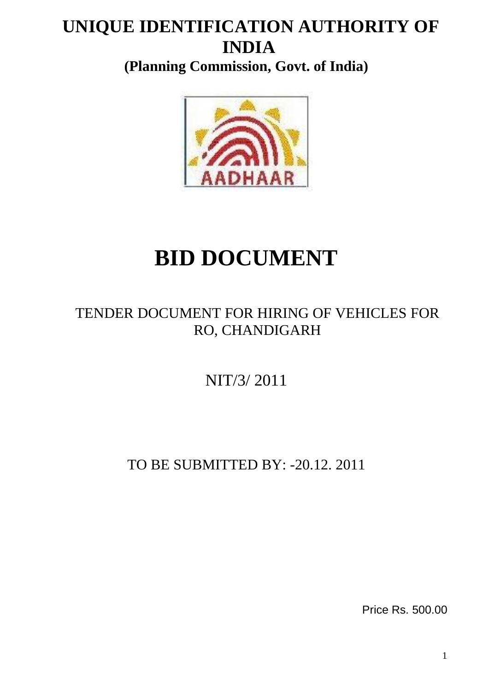# **UNIQUE IDENTIFICATION AUTHORITY OF INDIA**

**(Planning Commission, Govt. of India)**



# **BID DOCUMENT**

# TENDER DOCUMENT FOR HIRING OF VEHICLES FOR RO, CHANDIGARH

NIT/3/ 2011

TO BE SUBMITTED BY: -20.12. 2011

Price Rs. 500.00

1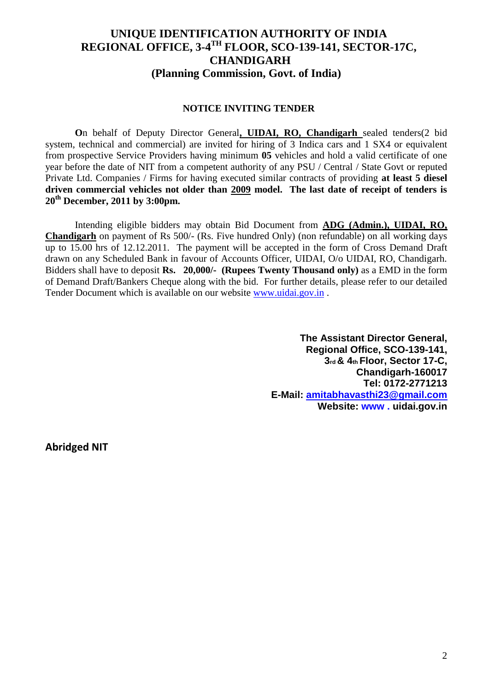## **UNIQUE IDENTIFICATION AUTHORITY OF INDIA REGIONAL OFFICE, 3-4 TH FLOOR, SCO-139-141, SECTOR-17C, CHANDIGARH (Planning Commission, Govt. of India)**

#### **NOTICE INVITING TENDER**

**O**n behalf of Deputy Director General**, UIDAI, RO, Chandigarh** sealed tenders(2 bid system, technical and commercial) are invited for hiring of 3 Indica cars and 1 SX4 or equivalent from prospective Service Providers having minimum **05** vehicles and hold a valid certificate of one year before the date of NIT from a competent authority of any PSU / Central / State Govt or reputed Private Ltd. Companies / Firms for having executed similar contracts of providing **at least 5 diesel driven commercial vehicles not older than 2009 model. The last date of receipt of tenders is 20th December, 2011 by 3:00pm.**

Intending eligible bidders may obtain Bid Document from **ADG (Admin.), UIDAI, RO, Chandigarh** on payment of Rs 500/- (Rs. Five hundred Only) (non refundable) on all working days up to 15.00 hrs of 12.12.2011. The payment will be accepted in the form of Cross Demand Draft drawn on any Scheduled Bank in favour of Accounts Officer, UIDAI, O/o UIDAI, RO, Chandigarh. Bidders shall have to deposit **Rs. 20,000/- (Rupees Twenty Thousand only)** as a EMD in the form of Demand Draft/Bankers Cheque along with the bid. For further details, please refer to our detailed Tender Document which is available on our website [www.uidai.gov.in](http://www.uidai.gov.in/) .

> **The Assistant Director General, Regional Office, SCO-139-141, 3rd & 4th Floor, Sector 17-C, Chandigarh-160017 Tel: 0172-2771213 E-Mail: [amitabhavasthi23@gmail.com](mailto:amitabhavasthi23@gmail.com) Website: www . uidai.gov.in**

**Abridged NIT**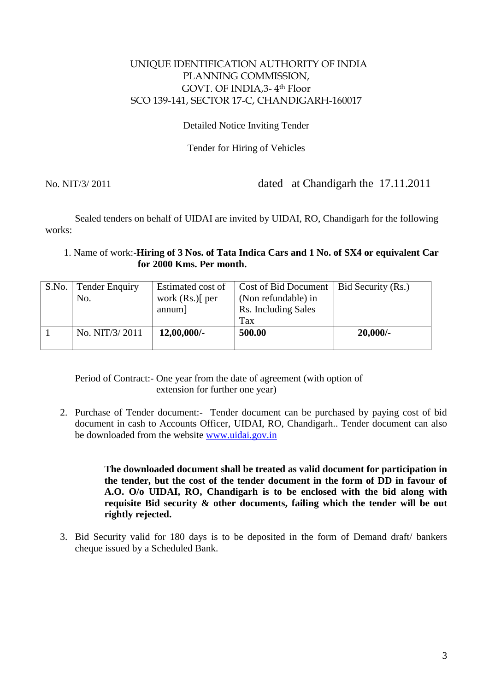#### UNIQUE IDENTIFICATION AUTHORITY OF INDIA PLANNING COMMISSION, GOVT. OF INDIA,3- 4th Floor SCO 139-141, SECTOR 17-C, CHANDIGARH-160017

#### Detailed Notice Inviting Tender

Tender for Hiring of Vehicles

No. NIT/3/ 2011 dated at Chandigarh the 17.11.2011

Sealed tenders on behalf of UIDAI are invited by UIDAI, RO, Chandigarh for the following works:

1. Name of work:-**Hiring of 3 Nos. of Tata Indica Cars and 1 No. of SX4 or equivalent Car for 2000 Kms. Per month.**

| S.No. | <b>Tender Enquiry</b> | Estimated cost of | Cost of Bid Document | Bid Security (Rs.) |
|-------|-----------------------|-------------------|----------------------|--------------------|
|       | No.                   | work $(Rs.)$ per  | (Non refundable) in  |                    |
|       |                       | annum]            | Rs. Including Sales  |                    |
|       |                       |                   | Tax                  |                    |
|       | No. NIT/3/2011        | $12,00,000/$ -    | 500.00               | $20,000/-$         |
|       |                       |                   |                      |                    |

Period of Contract:- One year from the date of agreement (with option of extension for further one year)

2. Purchase of Tender document:- Tender document can be purchased by paying cost of bid document in cash to Accounts Officer, UIDAI, RO, Chandigarh.. Tender document can also be downloaded from the website [www.uidai.gov.in](http://www.uidai.gov.in/)

> **The downloaded document shall be treated as valid document for participation in the tender, but the cost of the tender document in the form of DD in favour of A.O. O/o UIDAI, RO, Chandigarh is to be enclosed with the bid along with requisite Bid security & other documents, failing which the tender will be out rightly rejected.**

3. Bid Security valid for 180 days is to be deposited in the form of Demand draft/ bankers cheque issued by a Scheduled Bank.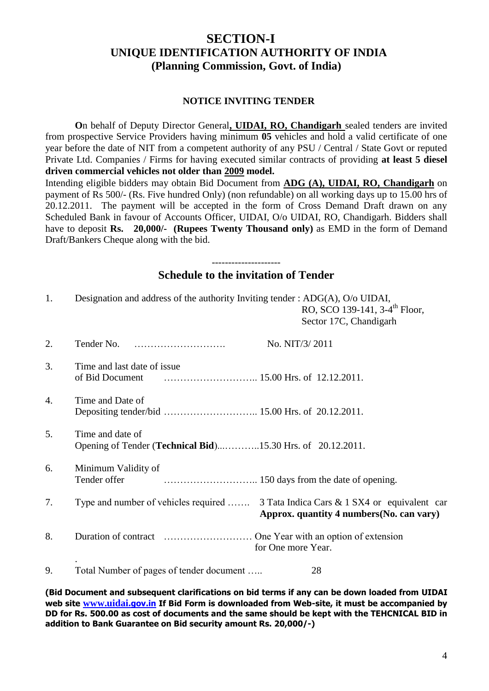## **SECTION-I UNIQUE IDENTIFICATION AUTHORITY OF INDIA (Planning Commission, Govt. of India)**

#### **NOTICE INVITING TENDER**

**O**n behalf of Deputy Director General**, UIDAI, RO, Chandigarh** sealed tenders are invited from prospective Service Providers having minimum **05** vehicles and hold a valid certificate of one year before the date of NIT from a competent authority of any PSU / Central / State Govt or reputed Private Ltd. Companies / Firms for having executed similar contracts of providing **at least 5 diesel driven commercial vehicles not older than 2009 model.**

Intending eligible bidders may obtain Bid Document from **ADG (A), UIDAI, RO, Chandigarh** on payment of Rs 500/- (Rs. Five hundred Only) (non refundable) on all working days up to 15.00 hrs of 20.12.2011. The payment will be accepted in the form of Cross Demand Draft drawn on any Scheduled Bank in favour of Accounts Officer, UIDAI, O/o UIDAI, RO, Chandigarh. Bidders shall have to deposit **Rs. 20,000/- (Rupees Twenty Thousand only)** as EMD in the form of Demand Draft/Bankers Cheque along with the bid.

#### --------------------- **Schedule to the invitation of Tender**

| 1. | Designation and address of the authority Inviting tender : ADG(A), O/o UIDAI,<br>RO, SCO 139-141, 3-4 <sup>th</sup> Floor,<br>Sector 17C, Chandigarh |
|----|------------------------------------------------------------------------------------------------------------------------------------------------------|
| 2. | Tender No.<br>No. NIT/3/2011                                                                                                                         |
| 3. | Time and last date of issue.                                                                                                                         |
| 4. | Time and Date of                                                                                                                                     |
| 5. | Time and date of<br>Opening of Tender ( <b>Technical Bid</b> )15.30 Hrs. of 20.12.2011.                                                              |
| 6. | Minimum Validity of<br>Tender offer                                                                                                                  |
| 7. | Type and number of vehicles required  3 Tata Indica Cars & 1 SX4 or equivalent car<br>Approx. quantity 4 numbers (No. can vary)                      |
| 8. | for One more Year.                                                                                                                                   |
| 9. | Total Number of pages of tender document<br>28                                                                                                       |

**(Bid Document and subsequent clarifications on bid terms if any can be down loaded from UIDAI web site [www.uidai](http://www.uidai.gov.in/).gov.in If Bid Form is downloaded from Web-site, it must be accompanied by DD for Rs. 500.00 as cost of documents and the same should be kept with the TEHCNICAL BID in addition to Bank Guarantee on Bid security amount Rs. 20,000/-)**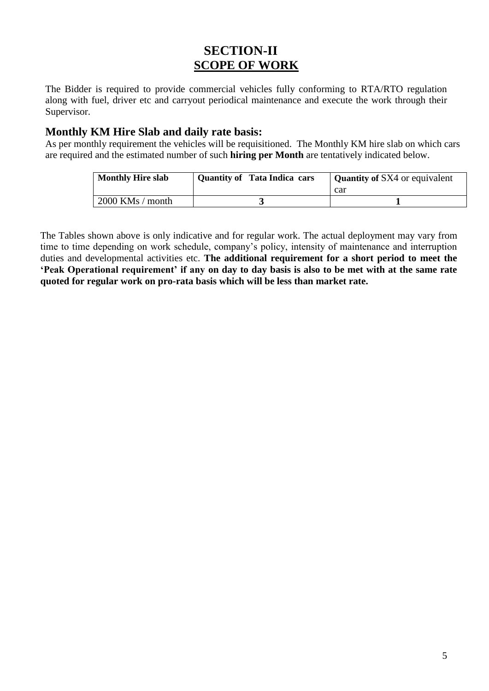# **SECTION-II SCOPE OF WORK**

The Bidder is required to provide commercial vehicles fully conforming to RTA/RTO regulation along with fuel, driver etc and carryout periodical maintenance and execute the work through their Supervisor.

#### **Monthly KM Hire Slab and daily rate basis:**

As per monthly requirement the vehicles will be requisitioned. The Monthly KM hire slab on which cars are required and the estimated number of such **hiring per Month** are tentatively indicated below.

| <b>Monthly Hire slab</b> | <b>Quantity of Tata Indica cars</b> | Quantity of SX4 or equivalent |  |  |
|--------------------------|-------------------------------------|-------------------------------|--|--|
|                          |                                     | car                           |  |  |
| $2000$ KMs / month       |                                     |                               |  |  |

The Tables shown above is only indicative and for regular work. The actual deployment may vary from time to time depending on work schedule, company"s policy, intensity of maintenance and interruption duties and developmental activities etc. **The additional requirement for a short period to meet the "Peak Operational requirement" if any on day to day basis is also to be met with at the same rate quoted for regular work on pro-rata basis which will be less than market rate.**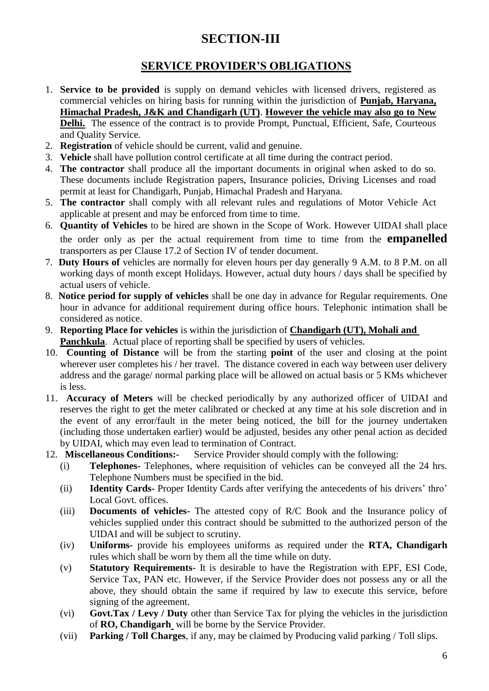# **SECTION-III**

# **SERVICE PROVIDER"S OBLIGATIONS**

- 1. **Service to be provided** is supply on demand vehicles with licensed drivers, registered as commercial vehicles on hiring basis for running within the jurisdiction of **Punjab, Haryana, Himachal Pradesh, J&K and Chandigarh (UT)**. **However the vehicle may also go to New Delhi.** The essence of the contract is to provide Prompt, Punctual, Efficient, Safe, Courteous and Quality Service.
- 2. **Registration** of vehicle should be current, valid and genuine.
- 3. **Vehicle** shall have pollution control certificate at all time during the contract period.
- 4. **The contractor** shall produce all the important documents in original when asked to do so. These documents include Registration papers, Insurance policies, Driving Licenses and road permit at least for Chandigarh, Punjab, Himachal Pradesh and Haryana.
- 5. **The contractor** shall comply with all relevant rules and regulations of Motor Vehicle Act applicable at present and may be enforced from time to time.
- 6. **Quantity of Vehicles** to be hired are shown in the Scope of Work. However UIDAI shall place the order only as per the actual requirement from time to time from the **empanelled** transporters as per Clause 17.2 of Section IV of tender document.
- 7. **Duty Hours of** vehicles are normally for eleven hours per day generally 9 A.M. to 8 P.M. on all working days of month except Holidays. However, actual duty hours / days shall be specified by actual users of vehicle.
- 8. **Notice period for supply of vehicles** shall be one day in advance for Regular requirements. One hour in advance for additional requirement during office hours. Telephonic intimation shall be considered as notice.
- 9. **Reporting Place for vehicles** is within the jurisdiction of **Chandigarh (UT), Mohali and Panchkula**. Actual place of reporting shall be specified by users of vehicles.
- 10. **Counting of Distance** will be from the starting **point** of the user and closing at the point wherever user completes his / her travel. The distance covered in each way between user delivery address and the garage/ normal parking place will be allowed on actual basis or 5 KMs whichever is less.
- 11. **Accuracy of Meters** will be checked periodically by any authorized officer of UIDAI and reserves the right to get the meter calibrated or checked at any time at his sole discretion and in the event of any error/fault in the meter being noticed, the bill for the journey undertaken (including those undertaken earlier) would be adjusted, besides any other penal action as decided by UIDAI, which may even lead to termination of Contract.
- 12. **Miscellaneous Conditions:-** Service Provider should comply with the following:
	- (i) **Telephones-** Telephones, where requisition of vehicles can be conveyed all the 24 hrs. Telephone Numbers must be specified in the bid.
	- (ii) **Identity Cards-** Proper Identity Cards after verifying the antecedents of his drivers" thro" Local Govt. offices.
	- (iii) **Documents of vehicles-** The attested copy of R/C Book and the Insurance policy of vehicles supplied under this contract should be submitted to the authorized person of the UIDAI and will be subject to scrutiny.
	- (iv) **Uniforms-** provide his employees uniforms as required under the **RTA, Chandigarh** rules which shall be worn by them all the time while on duty.
	- (v) **Statutory Requirements** It is desirable to have the Registration with EPF, ESI Code, Service Tax, PAN etc. However, if the Service Provider does not possess any or all the above, they should obtain the same if required by law to execute this service, before signing of the agreement.
	- (vi) **Govt.Tax / Levy / Duty** other than Service Tax for plying the vehicles in the jurisdiction of **RO, Chandigarh** will be borne by the Service Provider.
	- (vii) **Parking / Toll Charges**, if any, may be claimed by Producing valid parking / Toll slips.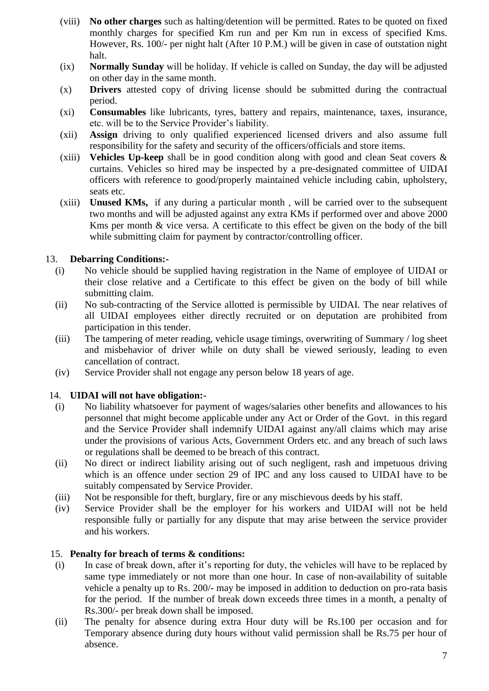- (viii) **No other charges** such as halting/detention will be permitted. Rates to be quoted on fixed monthly charges for specified Km run and per Km run in excess of specified Kms. However, Rs. 100/- per night halt (After 10 P.M.) will be given in case of outstation night halt.
- (ix) **Normally Sunday** will be holiday. If vehicle is called on Sunday, the day will be adjusted on other day in the same month.
- (x) **Drivers** attested copy of driving license should be submitted during the contractual period.
- (xi) **Consumables** like lubricants, tyres, battery and repairs, maintenance, taxes, insurance, etc. will be to the Service Provider"s liability.
- (xii) **Assign** driving to only qualified experienced licensed drivers and also assume full responsibility for the safety and security of the officers/officials and store items.
- (xiii) **Vehicles Up-keep** shall be in good condition along with good and clean Seat covers & curtains. Vehicles so hired may be inspected by a pre-designated committee of UIDAI officers with reference to good/properly maintained vehicle including cabin, upholstery, seats etc.
- (xiii) **Unused KMs,** if any during a particular month , will be carried over to the subsequent two months and will be adjusted against any extra KMs if performed over and above 2000 Kms per month  $\&$  vice versa. A certificate to this effect be given on the body of the bill while submitting claim for payment by contractor/controlling officer.

#### 13. **Debarring Conditions:-**

- (i) No vehicle should be supplied having registration in the Name of employee of UIDAI or their close relative and a Certificate to this effect be given on the body of bill while submitting claim.
- (ii) No sub-contracting of the Service allotted is permissible by UIDAI. The near relatives of all UIDAI employees either directly recruited or on deputation are prohibited from participation in this tender.
- (iii) The tampering of meter reading, vehicle usage timings, overwriting of Summary / log sheet and misbehavior of driver while on duty shall be viewed seriously, leading to even cancellation of contract.
- (iv) Service Provider shall not engage any person below 18 years of age.

#### 14. **UIDAI will not have obligation:-**

- (i) No liability whatsoever for payment of wages/salaries other benefits and allowances to his personnel that might become applicable under any Act or Order of the Govt. in this regard and the Service Provider shall indemnify UIDAI against any/all claims which may arise under the provisions of various Acts, Government Orders etc. and any breach of such laws or regulations shall be deemed to be breach of this contract.
- (ii) No direct or indirect liability arising out of such negligent, rash and impetuous driving which is an offence under section 29 of IPC and any loss caused to UIDAI have to be suitably compensated by Service Provider.
- (iii) Not be responsible for theft, burglary, fire or any mischievous deeds by his staff.
- (iv) Service Provider shall be the employer for his workers and UIDAI will not be held responsible fully or partially for any dispute that may arise between the service provider and his workers.

#### 15. **Penalty for breach of terms & conditions:**

- (i) In case of break down, after it"s reporting for duty, the vehicles will have to be replaced by same type immediately or not more than one hour. In case of non-availability of suitable vehicle a penalty up to Rs. 200/- may be imposed in addition to deduction on pro-rata basis for the period. If the number of break down exceeds three times in a month, a penalty of Rs.300/- per break down shall be imposed.
- (ii) The penalty for absence during extra Hour duty will be Rs.100 per occasion and for Temporary absence during duty hours without valid permission shall be Rs.75 per hour of absence.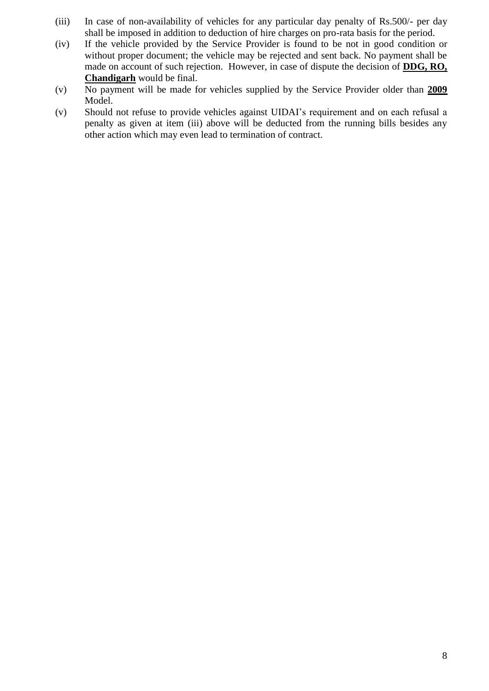- (iii) In case of non-availability of vehicles for any particular day penalty of Rs.500/- per day shall be imposed in addition to deduction of hire charges on pro-rata basis for the period.
- (iv) If the vehicle provided by the Service Provider is found to be not in good condition or without proper document; the vehicle may be rejected and sent back. No payment shall be made on account of such rejection. However, in case of dispute the decision of **DDG, RO, Chandigarh** would be final.
- (v) No payment will be made for vehicles supplied by the Service Provider older than **2009** Model.
- (v) Should not refuse to provide vehicles against UIDAI"s requirement and on each refusal a penalty as given at item (iii) above will be deducted from the running bills besides any other action which may even lead to termination of contract.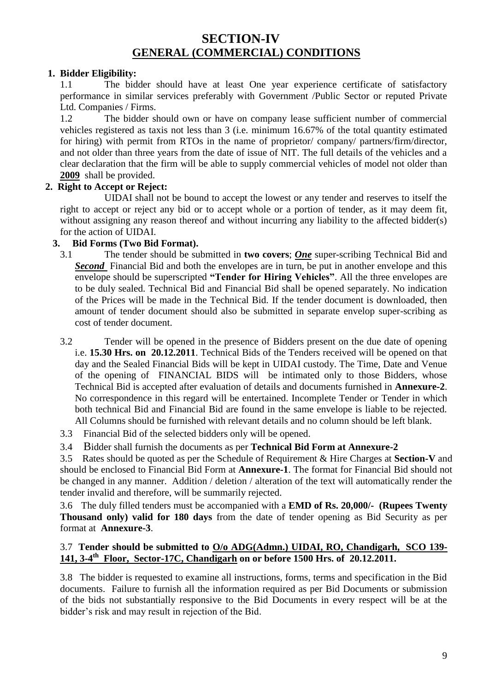## **SECTION-IV GENERAL (COMMERCIAL) CONDITIONS**

#### **1. Bidder Eligibility:**

1.1 The bidder should have at least One year experience certificate of satisfactory performance in similar services preferably with Government /Public Sector or reputed Private Ltd. Companies / Firms.

1.2 The bidder should own or have on company lease sufficient number of commercial vehicles registered as taxis not less than 3 (i.e. minimum 16.67% of the total quantity estimated for hiring) with permit from RTOs in the name of proprietor/ company/ partners/firm/director, and not older than three years from the date of issue of NIT. The full details of the vehicles and a clear declaration that the firm will be able to supply commercial vehicles of model not older than **2009** shall be provided.

#### **2. Right to Accept or Reject:**

UIDAI shall not be bound to accept the lowest or any tender and reserves to itself the right to accept or reject any bid or to accept whole or a portion of tender, as it may deem fit, without assigning any reason thereof and without incurring any liability to the affected bidder(s) for the action of UIDAI.

#### **3. Bid Forms (Two Bid Format).**

- 3.1 The tender should be submitted in **two covers**; *One* super-scribing Technical Bid and **Second** Financial Bid and both the envelopes are in turn, be put in another envelope and this envelope should be superscripted **"Tender for Hiring Vehicles"**. All the three envelopes are to be duly sealed. Technical Bid and Financial Bid shall be opened separately. No indication of the Prices will be made in the Technical Bid. If the tender document is downloaded, then amount of tender document should also be submitted in separate envelop super-scribing as cost of tender document.
- 3.2 Tender will be opened in the presence of Bidders present on the due date of opening i.e. **15.30 Hrs. on 20.12.2011**. Technical Bids of the Tenders received will be opened on that day and the Sealed Financial Bids will be kept in UIDAI custody. The Time, Date and Venue of the opening of FINANCIAL BIDS will be intimated only to those Bidders, whose Technical Bid is accepted after evaluation of details and documents furnished in **Annexure-2**. No correspondence in this regard will be entertained. Incomplete Tender or Tender in which both technical Bid and Financial Bid are found in the same envelope is liable to be rejected. All Columns should be furnished with relevant details and no column should be left blank.
- 3.3 Financial Bid of the selected bidders only will be opened.
- 3.4 Bidder shall furnish the documents as per **Technical Bid Form at Annexure-2**

 3.5 Rates should be quoted as per the Schedule of Requirement & Hire Charges at **Section-V** and should be enclosed to Financial Bid Form at **Annexure-1**. The format for Financial Bid should not be changed in any manner. Addition / deletion / alteration of the text will automatically render the tender invalid and therefore, will be summarily rejected.

3.6 The duly filled tenders must be accompanied with a **EMD of Rs. 20,000/- (Rupees Twenty Thousand only) valid for 180 days** from the date of tender opening as Bid Security as per format at **Annexure-3**.

#### 3.7 **Tender should be submitted to O/o ADG(Admn.) UIDAI, RO, Chandigarh, SCO 139- 141, 3-4 th Floor, Sector-17C, Chandigarh on or before 1500 Hrs. of 20.12.2011.**

3.8 The bidder is requested to examine all instructions, forms, terms and specification in the Bid documents. Failure to furnish all the information required as per Bid Documents or submission of the bids not substantially responsive to the Bid Documents in every respect will be at the bidder"s risk and may result in rejection of the Bid.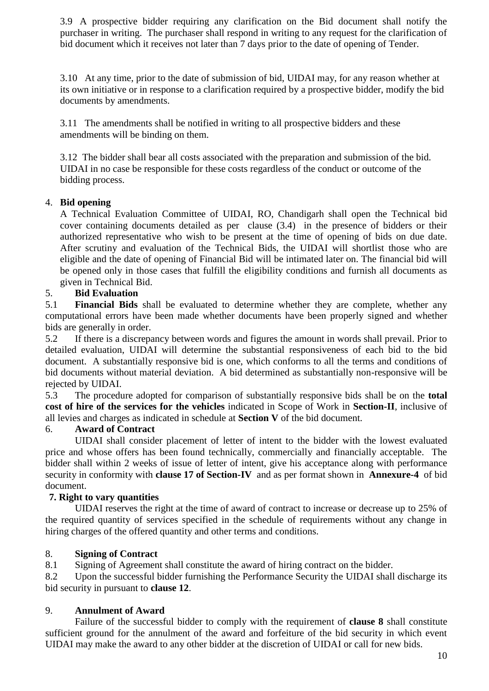3.9 A prospective bidder requiring any clarification on the Bid document shall notify the purchaser in writing. The purchaser shall respond in writing to any request for the clarification of bid document which it receives not later than 7 days prior to the date of opening of Tender.

3.10 At any time, prior to the date of submission of bid, UIDAI may, for any reason whether at its own initiative or in response to a clarification required by a prospective bidder, modify the bid documents by amendments.

3.11 The amendments shall be notified in writing to all prospective bidders and these amendments will be binding on them.

3.12 The bidder shall bear all costs associated with the preparation and submission of the bid. UIDAI in no case be responsible for these costs regardless of the conduct or outcome of the bidding process.

#### 4. **Bid opening**

A Technical Evaluation Committee of UIDAI, RO, Chandigarh shall open the Technical bid cover containing documents detailed as per clause (3.4) in the presence of bidders or their authorized representative who wish to be present at the time of opening of bids on due date. After scrutiny and evaluation of the Technical Bids, the UIDAI will shortlist those who are eligible and the date of opening of Financial Bid will be intimated later on. The financial bid will be opened only in those cases that fulfill the eligibility conditions and furnish all documents as given in Technical Bid.

#### 5. **Bid Evaluation**

5.1 **Financial Bids** shall be evaluated to determine whether they are complete, whether any computational errors have been made whether documents have been properly signed and whether bids are generally in order.

5.2 If there is a discrepancy between words and figures the amount in words shall prevail. Prior to detailed evaluation, UIDAI will determine the substantial responsiveness of each bid to the bid document. A substantially responsive bid is one, which conforms to all the terms and conditions of bid documents without material deviation. A bid determined as substantially non-responsive will be rejected by UIDAI.

5.3 The procedure adopted for comparison of substantially responsive bids shall be on the **total cost of hire of the services for the vehicles** indicated in Scope of Work in **Section-II**, inclusive of all levies and charges as indicated in schedule at **Section V** of the bid document.

#### 6. **Award of Contract**

UIDAI shall consider placement of letter of intent to the bidder with the lowest evaluated price and whose offers has been found technically, commercially and financially acceptable. The bidder shall within 2 weeks of issue of letter of intent, give his acceptance along with performance security in conformity with **clause 17 of Section-IV** and as per format shown in **Annexure-4** of bid document.

#### **7. Right to vary quantities**

UIDAI reserves the right at the time of award of contract to increase or decrease up to 25% of the required quantity of services specified in the schedule of requirements without any change in hiring charges of the offered quantity and other terms and conditions.

#### 8. **Signing of Contract**

8.1 Signing of Agreement shall constitute the award of hiring contract on the bidder.

8.2 Upon the successful bidder furnishing the Performance Security the UIDAI shall discharge its bid security in pursuant to **clause 12**.

#### 9. **Annulment of Award**

Failure of the successful bidder to comply with the requirement of **clause 8** shall constitute sufficient ground for the annulment of the award and forfeiture of the bid security in which event UIDAI may make the award to any other bidder at the discretion of UIDAI or call for new bids.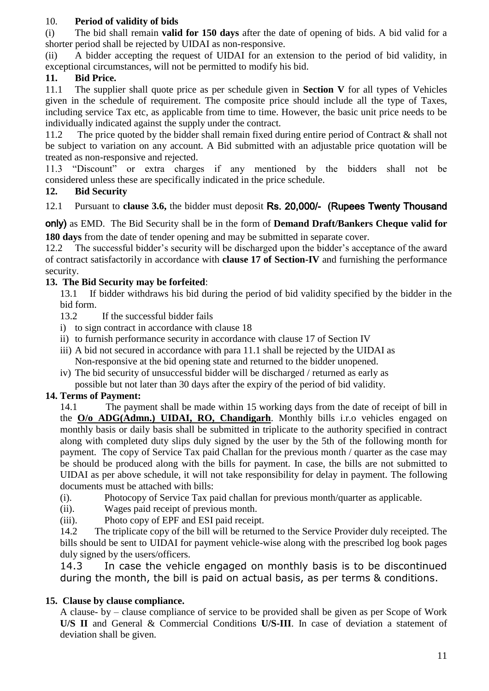#### 10. **Period of validity of bids**

(i) The bid shall remain **valid for 150 days** after the date of opening of bids. A bid valid for a shorter period shall be rejected by UIDAI as non-responsive.

(ii) A bidder accepting the request of UIDAI for an extension to the period of bid validity, in exceptional circumstances, will not be permitted to modify his bid.

#### **11. Bid Price.**

11.1 The supplier shall quote price as per schedule given in **Section V** for all types of Vehicles given in the schedule of requirement. The composite price should include all the type of Taxes, including service Tax etc, as applicable from time to time. However, the basic unit price needs to be individually indicated against the supply under the contract.

11.2 The price quoted by the bidder shall remain fixed during entire period of Contract & shall not be subject to variation on any account. A Bid submitted with an adjustable price quotation will be treated as non-responsive and rejected.

11.3 "Discount" or extra charges if any mentioned by the bidders shall not be considered unless these are specifically indicated in the price schedule.

#### **12. Bid Security**

12.1 Pursuant to **clause 3.6,** the bidder must deposit Rs. 20,000/- (Rupees Twenty Thousand

only) as EMD. The Bid Security shall be in the form of **Demand Draft/Bankers Cheque valid for** 

**180 days** from the date of tender opening and may be submitted in separate cover. 12.2 The successful bidder"s security will be discharged upon the bidder"s acceptance of the award

of contract satisfactorily in accordance with **clause 17 of Section-IV** and furnishing the performance security.

#### **13. The Bid Security may be forfeited**:

13.1 If bidder withdraws his bid during the period of bid validity specified by the bidder in the bid form.

- 13.2 If the successful bidder fails
- i) to sign contract in accordance with clause 18
- ii) to furnish performance security in accordance with clause 17 of Section IV
- iii) A bid not secured in accordance with para 11.1 shall be rejected by the UIDAI as Non-responsive at the bid opening state and returned to the bidder unopened.
- iv) The bid security of unsuccessful bidder will be discharged / returned as early as possible but not later than 30 days after the expiry of the period of bid validity.

#### **14. Terms of Payment:**

14.1 The payment shall be made within 15 working days from the date of receipt of bill in the **O/o ADG(Admn.) UIDAI, RO, Chandigarh**. Monthly bills i.r.o vehicles engaged on monthly basis or daily basis shall be submitted in triplicate to the authority specified in contract along with completed duty slips duly signed by the user by the 5th of the following month for payment. The copy of Service Tax paid Challan for the previous month / quarter as the case may be should be produced along with the bills for payment. In case, the bills are not submitted to UIDAI as per above schedule, it will not take responsibility for delay in payment. The following documents must be attached with bills:

- (i). Photocopy of Service Tax paid challan for previous month/quarter as applicable.
- (ii). Wages paid receipt of previous month.
- (iii). Photo copy of EPF and ESI paid receipt.

14.2 The triplicate copy of the bill will be returned to the Service Provider duly receipted. The bills should be sent to UIDAI for payment vehicle-wise along with the prescribed log book pages duly signed by the users/officers.

14.3 In case the vehicle engaged on monthly basis is to be discontinued during the month, the bill is paid on actual basis, as per terms & conditions.

#### **15. Clause by clause compliance.**

A clause- by – clause compliance of service to be provided shall be given as per Scope of Work **U/S II** and General & Commercial Conditions **U/S-III**. In case of deviation a statement of deviation shall be given.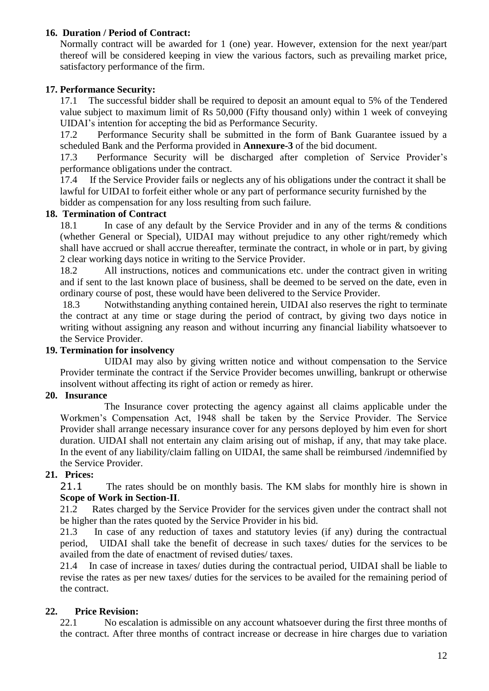#### **16. Duration / Period of Contract:**

Normally contract will be awarded for 1 (one) year. However, extension for the next year/part thereof will be considered keeping in view the various factors, such as prevailing market price, satisfactory performance of the firm.

#### **17. Performance Security:**

17.1 The successful bidder shall be required to deposit an amount equal to 5% of the Tendered value subject to maximum limit of Rs 50,000 (Fifty thousand only) within 1 week of conveying UIDAI"s intention for accepting the bid as Performance Security.

17.2 Performance Security shall be submitted in the form of Bank Guarantee issued by a scheduled Bank and the Performa provided in **Annexure-3** of the bid document.

17.3 Performance Security will be discharged after completion of Service Provider"s performance obligations under the contract.

17.4 If the Service Provider fails or neglects any of his obligations under the contract it shall be lawful for UIDAI to forfeit either whole or any part of performance security furnished by the bidder as compensation for any loss resulting from such failure.

#### **18. Termination of Contract**

18.1 In case of any default by the Service Provider and in any of the terms & conditions (whether General or Special), UIDAI may without prejudice to any other right/remedy which shall have accrued or shall accrue thereafter, terminate the contract, in whole or in part, by giving 2 clear working days notice in writing to the Service Provider.

18.2 All instructions, notices and communications etc. under the contract given in writing and if sent to the last known place of business, shall be deemed to be served on the date, even in ordinary course of post, these would have been delivered to the Service Provider.

18.3 Notwithstanding anything contained herein, UIDAI also reserves the right to terminate the contract at any time or stage during the period of contract, by giving two days notice in writing without assigning any reason and without incurring any financial liability whatsoever to the Service Provider.

#### **19. Termination for insolvency**

UIDAI may also by giving written notice and without compensation to the Service Provider terminate the contract if the Service Provider becomes unwilling, bankrupt or otherwise insolvent without affecting its right of action or remedy as hirer.

#### **20. Insurance**

The Insurance cover protecting the agency against all claims applicable under the Workmen"s Compensation Act, 1948 shall be taken by the Service Provider. The Service Provider shall arrange necessary insurance cover for any persons deployed by him even for short duration. UIDAI shall not entertain any claim arising out of mishap, if any, that may take place. In the event of any liability/claim falling on UIDAI, the same shall be reimbursed /indemnified by the Service Provider.

#### **21. Prices:**

21.1 The rates should be on monthly basis. The KM slabs for monthly hire is shown in **Scope of Work in Section-II**.

21.2 Rates charged by the Service Provider for the services given under the contract shall not be higher than the rates quoted by the Service Provider in his bid.

 21.3 In case of any reduction of taxes and statutory levies (if any) during the contractual period, UIDAI shall take the benefit of decrease in such taxes/ duties for the services to be availed from the date of enactment of revised duties/ taxes.

21.4 In case of increase in taxes/ duties during the contractual period, UIDAI shall be liable to revise the rates as per new taxes/ duties for the services to be availed for the remaining period of the contract.

#### **22. Price Revision:**

22.1 No escalation is admissible on any account whatsoever during the first three months of the contract. After three months of contract increase or decrease in hire charges due to variation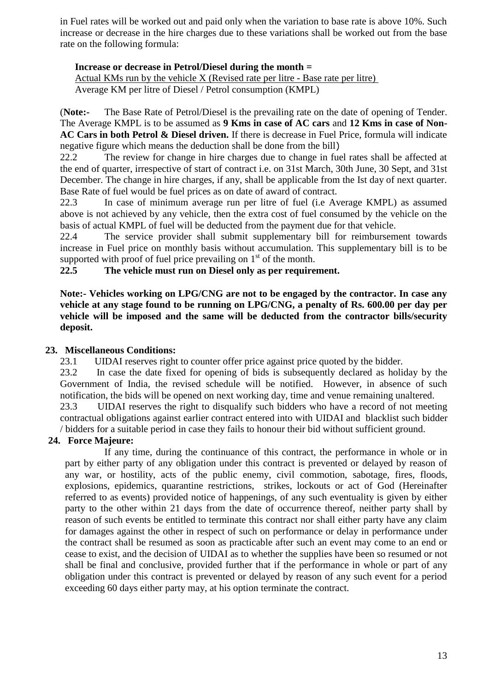in Fuel rates will be worked out and paid only when the variation to base rate is above 10%. Such increase or decrease in the hire charges due to these variations shall be worked out from the base rate on the following formula:

#### **Increase or decrease in Petrol/Diesel during the month =**

Actual KMs run by the vehicle X (Revised rate per litre - Base rate per litre) Average KM per litre of Diesel / Petrol consumption (KMPL)

(**Note:-** The Base Rate of Petrol/Diesel is the prevailing rate on the date of opening of Tender. The Average KMPL is to be assumed as **9 Kms in case of AC cars** and **12 Kms in case of Non-AC Cars in both Petrol & Diesel driven.** If there is decrease in Fuel Price, formula will indicate negative figure which means the deduction shall be done from the bill)

22.2 The review for change in hire charges due to change in fuel rates shall be affected at the end of quarter, irrespective of start of contract i.e. on 31st March, 30th June, 30 Sept, and 31st December. The change in hire charges, if any, shall be applicable from the Ist day of next quarter. Base Rate of fuel would be fuel prices as on date of award of contract.

22.3 In case of minimum average run per litre of fuel (i.e Average KMPL) as assumed above is not achieved by any vehicle, then the extra cost of fuel consumed by the vehicle on the basis of actual KMPL of fuel will be deducted from the payment due for that vehicle.

22.4 The service provider shall submit supplementary bill for reimbursement towards increase in Fuel price on monthly basis without accumulation. This supplementary bill is to be supported with proof of fuel price prevailing on  $1<sup>st</sup>$  of the month.

**22.5 The vehicle must run on Diesel only as per requirement.**

**Note:- Vehicles working on LPG/CNG are not to be engaged by the contractor. In case any vehicle at any stage found to be running on LPG/CNG, a penalty of Rs. 600.00 per day per vehicle will be imposed and the same will be deducted from the contractor bills/security deposit.** 

#### **23. Miscellaneous Conditions:**

23.1 UIDAI reserves right to counter offer price against price quoted by the bidder.

23.2 In case the date fixed for opening of bids is subsequently declared as holiday by the Government of India, the revised schedule will be notified. However, in absence of such notification, the bids will be opened on next working day, time and venue remaining unaltered.

23.3 UIDAI reserves the right to disqualify such bidders who have a record of not meeting contractual obligations against earlier contract entered into with UIDAI and blacklist such bidder / bidders for a suitable period in case they fails to honour their bid without sufficient ground.

#### **24. Force Majeure:**

If any time, during the continuance of this contract, the performance in whole or in part by either party of any obligation under this contract is prevented or delayed by reason of any war, or hostility, acts of the public enemy, civil commotion, sabotage, fires, floods, explosions, epidemics, quarantine restrictions, strikes, lockouts or act of God (Hereinafter referred to as events) provided notice of happenings, of any such eventuality is given by either party to the other within 21 days from the date of occurrence thereof, neither party shall by reason of such events be entitled to terminate this contract nor shall either party have any claim for damages against the other in respect of such on performance or delay in performance under the contract shall be resumed as soon as practicable after such an event may come to an end or cease to exist, and the decision of UIDAI as to whether the supplies have been so resumed or not shall be final and conclusive, provided further that if the performance in whole or part of any obligation under this contract is prevented or delayed by reason of any such event for a period exceeding 60 days either party may, at his option terminate the contract.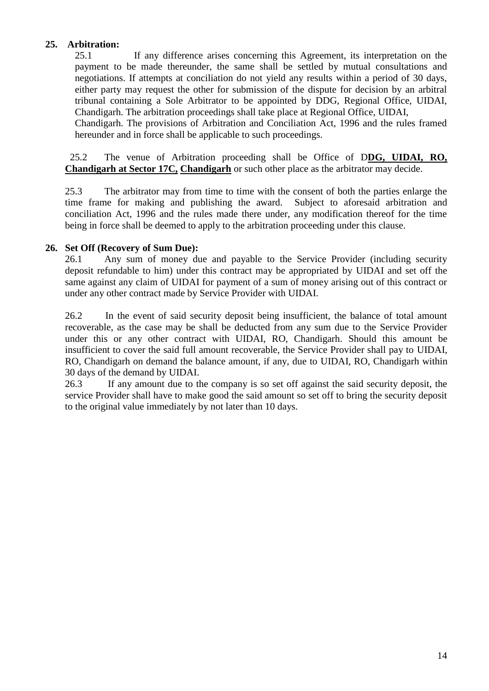#### **25. Arbitration:**

25.1 If any difference arises concerning this Agreement, its interpretation on the payment to be made thereunder, the same shall be settled by mutual consultations and negotiations. If attempts at conciliation do not yield any results within a period of 30 days, either party may request the other for submission of the dispute for decision by an arbitral tribunal containing a Sole Arbitrator to be appointed by DDG, Regional Office, UIDAI, Chandigarh. The arbitration proceedings shall take place at Regional Office, UIDAI,

Chandigarh. The provisions of Arbitration and Conciliation Act, 1996 and the rules framed hereunder and in force shall be applicable to such proceedings.

 25.2 The venue of Arbitration proceeding shall be Office of D**DG, UIDAI, RO, Chandigarh at Sector 17C, Chandigarh** or such other place as the arbitrator may decide.

25.3 The arbitrator may from time to time with the consent of both the parties enlarge the time frame for making and publishing the award. Subject to aforesaid arbitration and conciliation Act, 1996 and the rules made there under, any modification thereof for the time being in force shall be deemed to apply to the arbitration proceeding under this clause.

#### **26. Set Off (Recovery of Sum Due):**

26.1 Any sum of money due and payable to the Service Provider (including security deposit refundable to him) under this contract may be appropriated by UIDAI and set off the same against any claim of UIDAI for payment of a sum of money arising out of this contract or under any other contract made by Service Provider with UIDAI.

26.2 In the event of said security deposit being insufficient, the balance of total amount recoverable, as the case may be shall be deducted from any sum due to the Service Provider under this or any other contract with UIDAI, RO, Chandigarh. Should this amount be insufficient to cover the said full amount recoverable, the Service Provider shall pay to UIDAI, RO, Chandigarh on demand the balance amount, if any, due to UIDAI, RO, Chandigarh within 30 days of the demand by UIDAI.

26.3 If any amount due to the company is so set off against the said security deposit, the service Provider shall have to make good the said amount so set off to bring the security deposit to the original value immediately by not later than 10 days.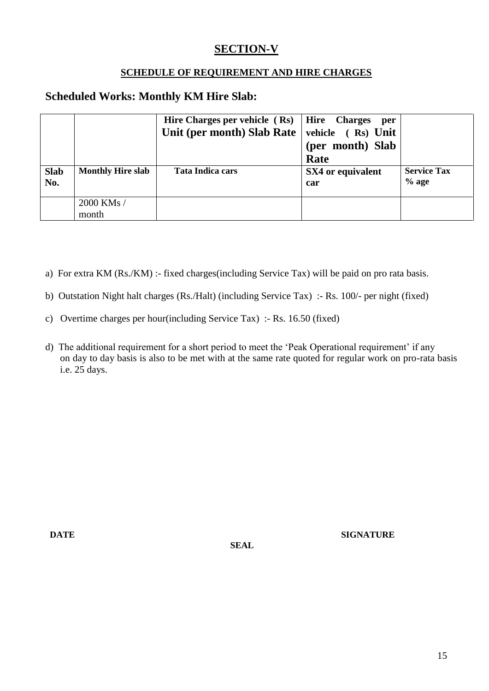# **SECTION-V**

#### **SCHEDULE OF REQUIREMENT AND HIRE CHARGES**

### **Scheduled Works: Monthly KM Hire Slab:**

|                    |                          | Hire Charges per vehicle $(Rs)$   Hire Charges<br>Unit (per month) Slab Rate $\vert$ | per<br>vehicle (Rs) Unit<br>(per month) Slab<br>Rate |                               |
|--------------------|--------------------------|--------------------------------------------------------------------------------------|------------------------------------------------------|-------------------------------|
| <b>Slab</b><br>No. | <b>Monthly Hire slab</b> | Tata Indica cars                                                                     | SX4 or equivalent<br>car                             | <b>Service Tax</b><br>$%$ age |
|                    | 2000 KMs /<br>month      |                                                                                      |                                                      |                               |

- a) For extra KM (Rs./KM) :- fixed charges(including Service Tax) will be paid on pro rata basis.
- b) Outstation Night halt charges (Rs./Halt) (including Service Tax) :- Rs. 100/- per night (fixed)
- c) Overtime charges per hour(including Service Tax) :- Rs. 16.50 (fixed)
- d) The additional requirement for a short period to meet the 'Peak Operational requirement' if any on day to day basis is also to be met with at the same rate quoted for regular work on pro-rata basis i.e. 25 days.

**DATE SIGNATURE** 

 **SEAL**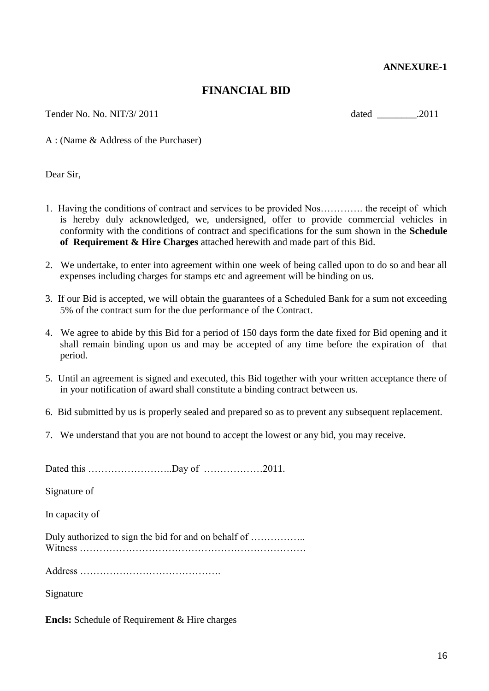#### **ANNEXURE-1**

#### **FINANCIAL BID**

Tender No. No. NIT/3/ 2011 dated 2011

A : (Name & Address of the Purchaser)

Dear Sir,

- 1. Having the conditions of contract and services to be provided Nos…………. the receipt of which is hereby duly acknowledged, we, undersigned, offer to provide commercial vehicles in conformity with the conditions of contract and specifications for the sum shown in the **Schedule of Requirement & Hire Charges** attached herewith and made part of this Bid.
- 2. We undertake, to enter into agreement within one week of being called upon to do so and bear all expenses including charges for stamps etc and agreement will be binding on us.
- 3. If our Bid is accepted, we will obtain the guarantees of a Scheduled Bank for a sum not exceeding 5% of the contract sum for the due performance of the Contract.
- 4. We agree to abide by this Bid for a period of 150 days form the date fixed for Bid opening and it shall remain binding upon us and may be accepted of any time before the expiration of that period.
- 5. Until an agreement is signed and executed, this Bid together with your written acceptance there of in your notification of award shall constitute a binding contract between us.
- 6. Bid submitted by us is properly sealed and prepared so as to prevent any subsequent replacement.
- 7. We understand that you are not bound to accept the lowest or any bid, you may receive.

Dated this ……………………..Day of ………………2011.

Signature of

In capacity of

Duly authorized to sign the bid for and on behalf of …………….. Witness ……………………………………………………………

Address …………………………………….

Signature

**Encls:** Schedule of Requirement & Hire charges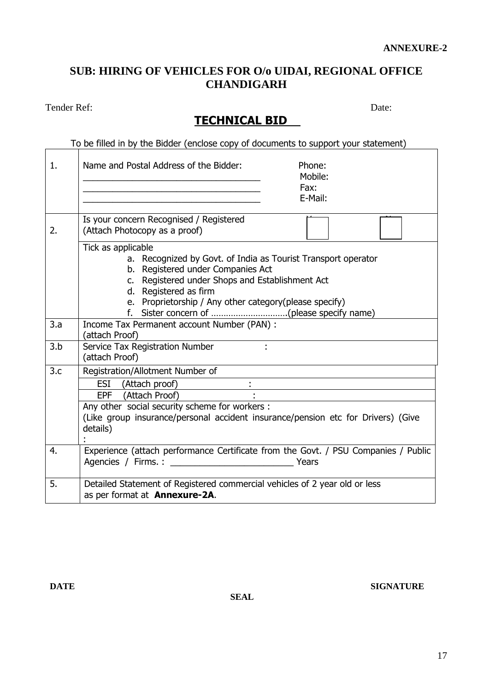# **SUB: HIRING OF VEHICLES FOR O/o UIDAI, REGIONAL OFFICE CHANDIGARH**

Tender Ref: Date:

**TECHNICAL BID** 

To be filled in by the Bidder (enclose copy of documents to support your statement)

| $\mathbf{1}$ . | Name and Postal Address of the Bidder:<br>Phone:<br>Mobile:<br>Fax:<br>E-Mail:                                                                                                                                                                                                      |
|----------------|-------------------------------------------------------------------------------------------------------------------------------------------------------------------------------------------------------------------------------------------------------------------------------------|
| 2.             | Is your concern Recognised / Registered<br>(Attach Photocopy as a proof)                                                                                                                                                                                                            |
|                | Tick as applicable<br>a. Recognized by Govt. of India as Tourist Transport operator<br>b. Registered under Companies Act<br>c. Registered under Shops and Establishment Act<br>d. Registered as firm<br>e. Proprietorship / Any other category (please specify)                     |
| 3.a            | Income Tax Permanent account Number (PAN) :<br>(attach Proof)                                                                                                                                                                                                                       |
| 3.b            | Service Tax Registration Number<br>(attach Proof)                                                                                                                                                                                                                                   |
| 3.c            | Registration/Allotment Number of<br>ESI (Attach proof)<br><u> 1980 - Johann Barbara, martxa alemaniar a</u><br>EPF (Attach Proof)<br>Any other social security scheme for workers :<br>(Like group insurance/personal accident insurance/pension etc for Drivers) (Give<br>details) |
| 4.             | Experience (attach performance Certificate from the Govt. / PSU Companies / Public                                                                                                                                                                                                  |
| 5.             | Detailed Statement of Registered commercial vehicles of 2 year old or less<br>as per format at Annexure-2A.                                                                                                                                                                         |

 **SEAL**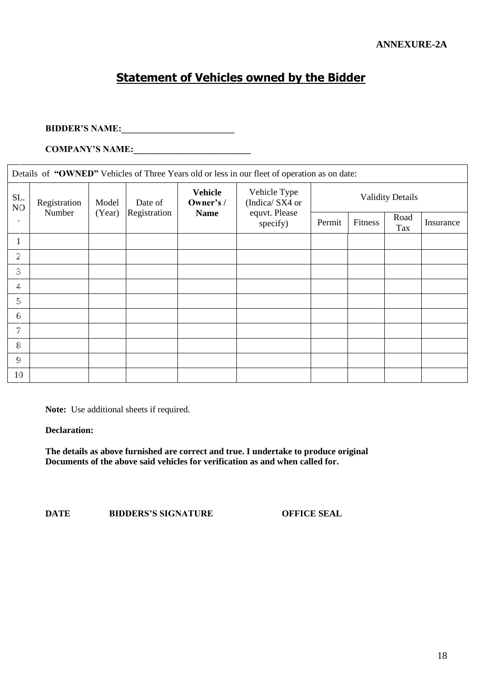# **Statement of Vehicles owned by the Bidder**

## **BIDDER"S NAME:\_\_\_\_\_\_\_\_\_\_\_\_\_\_\_\_\_\_\_\_\_\_\_\_\_**

**COMPANY"S NAME:\_\_\_\_\_\_\_\_\_\_\_\_\_\_\_\_\_\_\_\_\_\_\_\_\_\_**

|                       | Details of "OWNED" Vehicles of Three Years old or less in our fleet of operation as on date: |        |              |                                          |                                |                         |         |             |           |  |
|-----------------------|----------------------------------------------------------------------------------------------|--------|--------------|------------------------------------------|--------------------------------|-------------------------|---------|-------------|-----------|--|
| SL.<br>N <sub>O</sub> | Registration                                                                                 | Model  | Date of      | <b>Vehicle</b><br>Owner's /              | Vehicle Type<br>(Indica/SX4 or | <b>Validity Details</b> |         |             |           |  |
| $\bullet$             | Number                                                                                       | (Year) | Registration | equvt. Please<br><b>Name</b><br>specify) |                                | Permit                  | Fitness | Road<br>Tax | Insurance |  |
| $\mathbf{1}$          |                                                                                              |        |              |                                          |                                |                         |         |             |           |  |
| $\overline{2}$        |                                                                                              |        |              |                                          |                                |                         |         |             |           |  |
| $\mathfrak{Z}$        |                                                                                              |        |              |                                          |                                |                         |         |             |           |  |
| 4.                    |                                                                                              |        |              |                                          |                                |                         |         |             |           |  |
| $5\overline{)}$       |                                                                                              |        |              |                                          |                                |                         |         |             |           |  |
| $6 \overline{6}$      |                                                                                              |        |              |                                          |                                |                         |         |             |           |  |
| $7\phantom{.0}$       |                                                                                              |        |              |                                          |                                |                         |         |             |           |  |
| 8                     |                                                                                              |        |              |                                          |                                |                         |         |             |           |  |
| $\mathsf{G}$          |                                                                                              |        |              |                                          |                                |                         |         |             |           |  |
| 10                    |                                                                                              |        |              |                                          |                                |                         |         |             |           |  |

**Note:** Use additional sheets if required.

**Declaration:**

**The details as above furnished are correct and true. I undertake to produce original Documents of the above said vehicles for verification as and when called for.**

**DATE BIDDERS"S SIGNATURE OFFICE SEAL**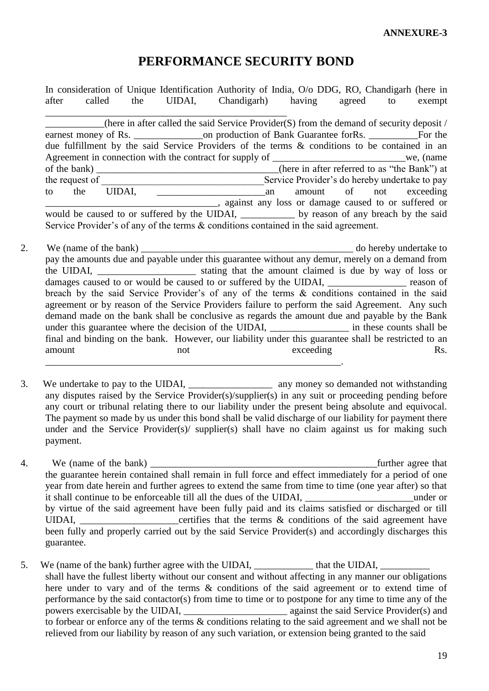# **PERFORMANCE SECURITY BOND**

In consideration of Unique Identification Authority of India, O/o DDG, RO, Chandigarh (here in after called the UIDAI, Chandigarh) having agreed to exempt \_\_\_\_\_\_\_\_\_\_\_\_\_\_\_\_\_\_\_\_\_\_\_\_\_\_\_\_\_\_\_\_\_\_\_\_\_\_\_\_\_\_\_\_\_\_\_\_\_ (here in after called the said Service Provider(S) from the demand of security deposit  $/$ earnest money of Rs. \_\_\_\_\_\_\_\_\_\_\_\_\_\_on production of Bank Guarantee forRs. \_\_\_\_\_\_\_\_\_\_For the due fulfillment by the said Service Providers of the terms & conditions to be contained in an Agreement in connection with the contract for supply of we, (name of the bank) \_\_\_\_\_\_\_\_\_\_\_\_\_\_\_\_\_\_\_\_\_\_\_\_\_\_\_\_\_\_\_\_\_\_\_\_\_(here in after referred to as "the Bank") at the request of Service Provider's do hereby undertake to pay to the UIDAI, an amount of not exceeding \_\_\_\_\_\_\_\_\_\_\_\_\_\_\_\_\_\_\_\_\_\_\_\_\_\_\_\_\_\_\_\_\_\_\_, against any loss or damage caused to or suffered or would be caused to or suffered by the UIDAI, by reason of any breach by the said Service Provider's of any of the terms  $\&$  conditions contained in the said agreement.

- 2. We (name of the bank) do hereby undertake to pay the amounts due and payable under this guarantee without any demur, merely on a demand from the UIDAI, \_\_\_\_\_\_\_\_\_\_\_\_\_\_\_\_\_\_\_\_ stating that the amount claimed is due by way of loss or damages caused to or would be caused to or suffered by the UIDAI, \_\_\_\_\_\_\_\_\_\_\_\_\_\_\_ reason of breach by the said Service Provider"s of any of the terms & conditions contained in the said agreement or by reason of the Service Providers failure to perform the said Agreement. Any such demand made on the bank shall be conclusive as regards the amount due and payable by the Bank under this guarantee where the decision of the UIDAI, in these counts shall be final and binding on the bank. However, our liability under this guarantee shall be restricted to an amount not not exceeding Rs. \_\_\_\_\_\_\_\_\_\_\_\_\_\_\_\_\_\_\_\_\_\_\_\_\_\_\_\_\_\_\_\_\_\_\_\_\_\_\_\_\_\_\_\_\_\_\_\_\_\_\_\_\_\_\_\_\_\_\_\_.
- 3. We undertake to pay to the UIDAI, any money so demanded not withstanding any disputes raised by the Service Provider(s)/supplier(s) in any suit or proceeding pending before any court or tribunal relating there to our liability under the present being absolute and equivocal. The payment so made by us under this bond shall be valid discharge of our liability for payment there under and the Service Provider(s)/ supplier(s) shall have no claim against us for making such payment.
- 4. We (name of the bank)  $\blacksquare$ the guarantee herein contained shall remain in full force and effect immediately for a period of one year from date herein and further agrees to extend the same from time to time (one year after) so that it shall continue to be enforceable till all the dues of the UIDAI, and the under or by virtue of the said agreement have been fully paid and its claims satisfied or discharged or till UIDAI,  $\blacksquare$  certifies that the terms  $\&$  conditions of the said agreement have been fully and properly carried out by the said Service Provider(s) and accordingly discharges this guarantee.
- 5. We (name of the bank) further agree with the UIDAI, \_\_\_\_\_\_\_\_\_\_\_\_\_\_\_\_ that the UIDAI, \_\_\_\_\_\_\_\_\_\_\_\_ shall have the fullest liberty without our consent and without affecting in any manner our obligations here under to vary and of the terms & conditions of the said agreement or to extend time of performance by the said contactor(s) from time to time or to postpone for any time to time any of the powers exercisable by the UIDAI, \_\_\_\_\_\_\_\_\_\_\_\_\_\_\_\_\_\_\_\_\_ against the said Service Provider(s) and to forbear or enforce any of the terms & conditions relating to the said agreement and we shall not be relieved from our liability by reason of any such variation, or extension being granted to the said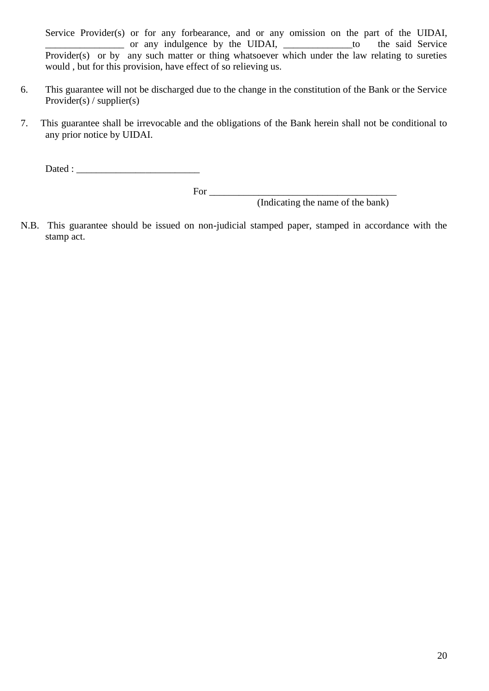Service Provider(s) or for any forbearance, and or any omission on the part of the UIDAI, \_\_\_\_\_\_\_\_\_\_\_\_\_\_\_\_ or any indulgence by the UIDAI, \_\_\_\_\_\_\_\_\_\_\_\_\_\_to the said Service Provider(s) or by any such matter or thing whatsoever which under the law relating to sureties would , but for this provision, have effect of so relieving us.

- 6. This guarantee will not be discharged due to the change in the constitution of the Bank or the Service Provider(s) / supplier(s)
- 7. This guarantee shall be irrevocable and the obligations of the Bank herein shall not be conditional to any prior notice by UIDAI.

Dated :

For \_\_\_\_\_\_\_\_\_\_\_\_\_\_\_\_\_\_\_\_\_\_\_\_\_\_\_\_\_\_\_\_\_\_\_\_\_\_

(Indicating the name of the bank)

N.B. This guarantee should be issued on non-judicial stamped paper, stamped in accordance with the stamp act.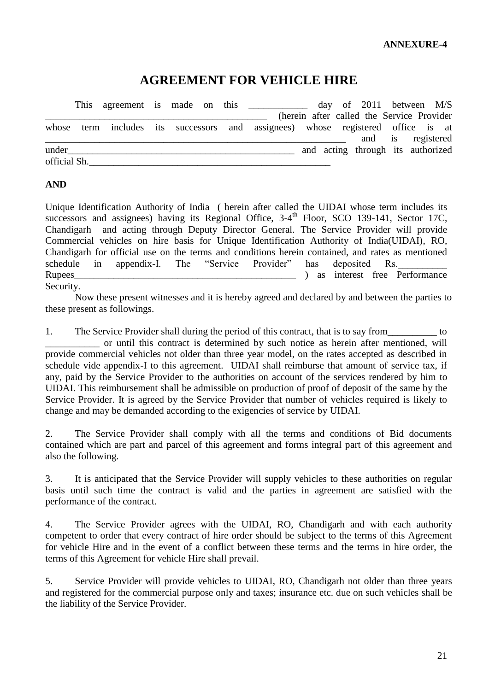# **AGREEMENT FOR VEHICLE HIRE**

|              |  |  |  |                                                                           |  | day of $2011$ between M/S                  |                   |  |
|--------------|--|--|--|---------------------------------------------------------------------------|--|--------------------------------------------|-------------------|--|
|              |  |  |  |                                                                           |  | (herein after called the Service Provider) |                   |  |
| whose        |  |  |  | term includes its successors and assignees) whose registered office is at |  |                                            |                   |  |
|              |  |  |  |                                                                           |  |                                            | and is registered |  |
| under        |  |  |  |                                                                           |  | and acting through its authorized          |                   |  |
| official Sh. |  |  |  |                                                                           |  |                                            |                   |  |

#### **AND**

Unique Identification Authority of India ( herein after called the UIDAI whose term includes its successors and assignees) having its Regional Office, 3-4<sup>th</sup> Floor, SCO 139-141, Sector 17C, Chandigarh and acting through Deputy Director General. The Service Provider will provide Commercial vehicles on hire basis for Unique Identification Authority of India(UIDAI), RO, Chandigarh for official use on the terms and conditions herein contained, and rates as mentioned schedule in appendix-I. The "Service Provider" has deposited Rs. Rupees and the extension of the extension of the Performance in the Performance of the Performance Security.

Now these present witnesses and it is hereby agreed and declared by and between the parties to these present as followings.

1. The Service Provider shall during the period of this contract, that is to say from to \_\_\_\_\_\_\_\_\_\_\_ or until this contract is determined by such notice as herein after mentioned, will provide commercial vehicles not older than three year model, on the rates accepted as described in schedule vide appendix-I to this agreement. UIDAI shall reimburse that amount of service tax, if any, paid by the Service Provider to the authorities on account of the services rendered by him to UIDAI. This reimbursement shall be admissible on production of proof of deposit of the same by the Service Provider. It is agreed by the Service Provider that number of vehicles required is likely to change and may be demanded according to the exigencies of service by UIDAI.

2. The Service Provider shall comply with all the terms and conditions of Bid documents contained which are part and parcel of this agreement and forms integral part of this agreement and also the following.

3. It is anticipated that the Service Provider will supply vehicles to these authorities on regular basis until such time the contract is valid and the parties in agreement are satisfied with the performance of the contract.

4. The Service Provider agrees with the UIDAI, RO, Chandigarh and with each authority competent to order that every contract of hire order should be subject to the terms of this Agreement for vehicle Hire and in the event of a conflict between these terms and the terms in hire order, the terms of this Agreement for vehicle Hire shall prevail.

5. Service Provider will provide vehicles to UIDAI, RO, Chandigarh not older than three years and registered for the commercial purpose only and taxes; insurance etc. due on such vehicles shall be the liability of the Service Provider.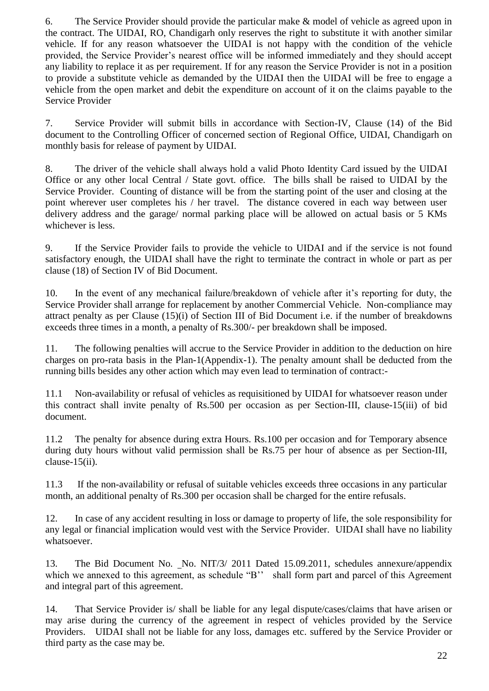6. The Service Provider should provide the particular make & model of vehicle as agreed upon in the contract. The UIDAI, RO, Chandigarh only reserves the right to substitute it with another similar vehicle. If for any reason whatsoever the UIDAI is not happy with the condition of the vehicle provided, the Service Provider"s nearest office will be informed immediately and they should accept any liability to replace it as per requirement. If for any reason the Service Provider is not in a position to provide a substitute vehicle as demanded by the UIDAI then the UIDAI will be free to engage a vehicle from the open market and debit the expenditure on account of it on the claims payable to the Service Provider

7. Service Provider will submit bills in accordance with Section-IV, Clause (14) of the Bid document to the Controlling Officer of concerned section of Regional Office, UIDAI, Chandigarh on monthly basis for release of payment by UIDAI.

8. The driver of the vehicle shall always hold a valid Photo Identity Card issued by the UIDAI Office or any other local Central / State govt. office. The bills shall be raised to UIDAI by the Service Provider. Counting of distance will be from the starting point of the user and closing at the point wherever user completes his / her travel. The distance covered in each way between user delivery address and the garage/ normal parking place will be allowed on actual basis or 5 KMs whichever is less.

9. If the Service Provider fails to provide the vehicle to UIDAI and if the service is not found satisfactory enough, the UIDAI shall have the right to terminate the contract in whole or part as per clause (18) of Section IV of Bid Document.

10. In the event of any mechanical failure/breakdown of vehicle after it"s reporting for duty, the Service Provider shall arrange for replacement by another Commercial Vehicle. Non-compliance may attract penalty as per Clause (15)(i) of Section III of Bid Document i.e. if the number of breakdowns exceeds three times in a month, a penalty of Rs.300/- per breakdown shall be imposed.

11. The following penalties will accrue to the Service Provider in addition to the deduction on hire charges on pro-rata basis in the Plan-1(Appendix-1). The penalty amount shall be deducted from the running bills besides any other action which may even lead to termination of contract:-

11.1 Non-availability or refusal of vehicles as requisitioned by UIDAI for whatsoever reason under this contract shall invite penalty of Rs.500 per occasion as per Section-III, clause-15(iii) of bid document.

11.2 The penalty for absence during extra Hours. Rs.100 per occasion and for Temporary absence during duty hours without valid permission shall be Rs.75 per hour of absence as per Section-III, clause-15(ii).

11.3 If the non-availability or refusal of suitable vehicles exceeds three occasions in any particular month, an additional penalty of Rs.300 per occasion shall be charged for the entire refusals.

12. In case of any accident resulting in loss or damage to property of life, the sole responsibility for any legal or financial implication would vest with the Service Provider. UIDAI shall have no liability whatsoever.

13. The Bid Document No. No. NIT/3/ 2011 Dated 15.09.2011, schedules annexure/appendix which we annexed to this agreement, as schedule "B" shall form part and parcel of this Agreement and integral part of this agreement.

14. That Service Provider is/ shall be liable for any legal dispute/cases/claims that have arisen or may arise during the currency of the agreement in respect of vehicles provided by the Service Providers. UIDAI shall not be liable for any loss, damages etc. suffered by the Service Provider or third party as the case may be.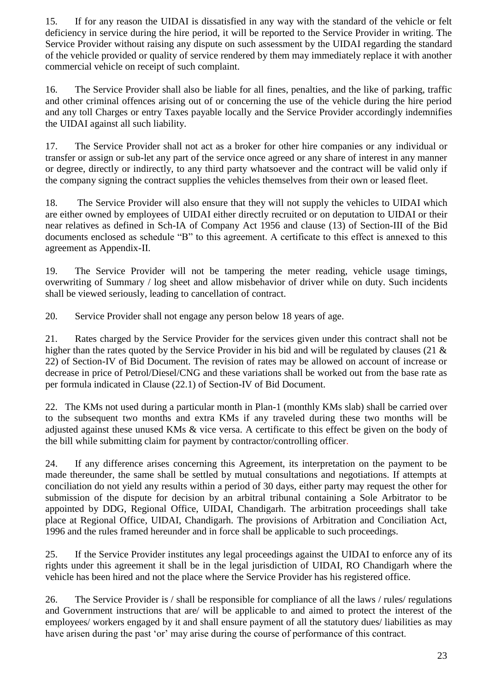15. If for any reason the UIDAI is dissatisfied in any way with the standard of the vehicle or felt deficiency in service during the hire period, it will be reported to the Service Provider in writing. The Service Provider without raising any dispute on such assessment by the UIDAI regarding the standard of the vehicle provided or quality of service rendered by them may immediately replace it with another commercial vehicle on receipt of such complaint.

16. The Service Provider shall also be liable for all fines, penalties, and the like of parking, traffic and other criminal offences arising out of or concerning the use of the vehicle during the hire period and any toll Charges or entry Taxes payable locally and the Service Provider accordingly indemnifies the UIDAI against all such liability.

17. The Service Provider shall not act as a broker for other hire companies or any individual or transfer or assign or sub-let any part of the service once agreed or any share of interest in any manner or degree, directly or indirectly, to any third party whatsoever and the contract will be valid only if the company signing the contract supplies the vehicles themselves from their own or leased fleet.

18. The Service Provider will also ensure that they will not supply the vehicles to UIDAI which are either owned by employees of UIDAI either directly recruited or on deputation to UIDAI or their near relatives as defined in Sch-IA of Company Act 1956 and clause (13) of Section-III of the Bid documents enclosed as schedule "B" to this agreement. A certificate to this effect is annexed to this agreement as Appendix-II.

19. The Service Provider will not be tampering the meter reading, vehicle usage timings, overwriting of Summary / log sheet and allow misbehavior of driver while on duty. Such incidents shall be viewed seriously, leading to cancellation of contract.

20. Service Provider shall not engage any person below 18 years of age.

21. Rates charged by the Service Provider for the services given under this contract shall not be higher than the rates quoted by the Service Provider in his bid and will be regulated by clauses (21 & 22) of Section-IV of Bid Document. The revision of rates may be allowed on account of increase or decrease in price of Petrol/Diesel/CNG and these variations shall be worked out from the base rate as per formula indicated in Clause (22.1) of Section-IV of Bid Document.

22. The KMs not used during a particular month in Plan-1 (monthly KMs slab) shall be carried over to the subsequent two months and extra KMs if any traveled during these two months will be adjusted against these unused KMs & vice versa. A certificate to this effect be given on the body of the bill while submitting claim for payment by contractor/controlling officer.

24. If any difference arises concerning this Agreement, its interpretation on the payment to be made thereunder, the same shall be settled by mutual consultations and negotiations. If attempts at conciliation do not yield any results within a period of 30 days, either party may request the other for submission of the dispute for decision by an arbitral tribunal containing a Sole Arbitrator to be appointed by DDG, Regional Office, UIDAI, Chandigarh. The arbitration proceedings shall take place at Regional Office, UIDAI, Chandigarh. The provisions of Arbitration and Conciliation Act, 1996 and the rules framed hereunder and in force shall be applicable to such proceedings.

25. If the Service Provider institutes any legal proceedings against the UIDAI to enforce any of its rights under this agreement it shall be in the legal jurisdiction of UIDAI, RO Chandigarh where the vehicle has been hired and not the place where the Service Provider has his registered office.

26. The Service Provider is / shall be responsible for compliance of all the laws / rules/ regulations and Government instructions that are/ will be applicable to and aimed to protect the interest of the employees/ workers engaged by it and shall ensure payment of all the statutory dues/ liabilities as may have arisen during the past 'or' may arise during the course of performance of this contract.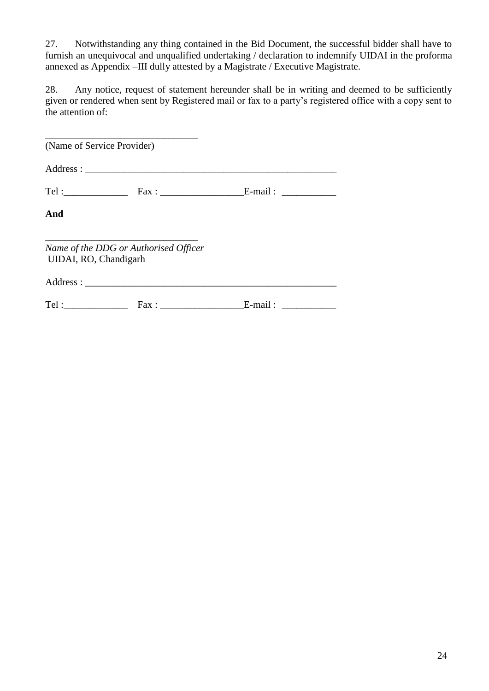27. Notwithstanding any thing contained in the Bid Document, the successful bidder shall have to furnish an unequivocal and unqualified undertaking / declaration to indemnify UIDAI in the proforma annexed as Appendix –III dully attested by a Magistrate / Executive Magistrate.

28. Any notice, request of statement hereunder shall be in writing and deemed to be sufficiently given or rendered when sent by Registered mail or fax to a party"s registered office with a copy sent to the attention of:

| (Name of Service Provider) |                                       |  |
|----------------------------|---------------------------------------|--|
|                            |                                       |  |
|                            |                                       |  |
| And                        |                                       |  |
| UIDAI, RO, Chandigarh      | Name of the DDG or Authorised Officer |  |
|                            |                                       |  |
|                            |                                       |  |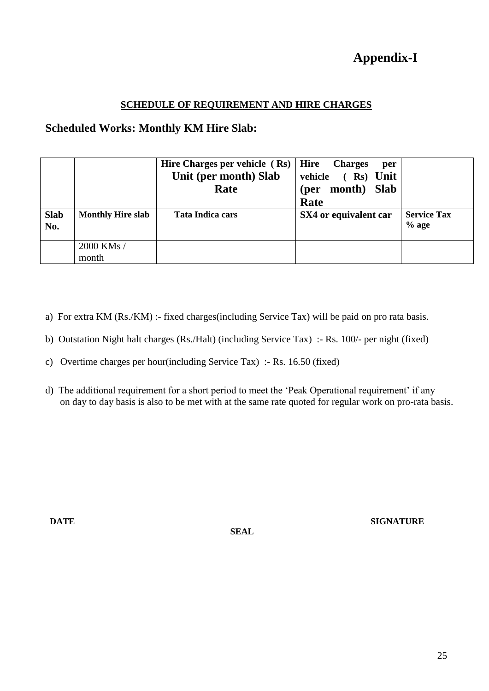#### **SCHEDULE OF REQUIREMENT AND HIRE CHARGES**

### **Scheduled Works: Monthly KM Hire Slab:**

|                    |                          | Hire Charges per vehicle (Rs)<br>Unit (per month) Slab<br>Rate | Hire<br><b>Charges</b><br>per<br>vehicle (Rs) Unit<br>(per month) Slab<br>Rate |                               |
|--------------------|--------------------------|----------------------------------------------------------------|--------------------------------------------------------------------------------|-------------------------------|
| <b>Slab</b><br>No. | <b>Monthly Hire slab</b> | <b>Tata Indica cars</b>                                        | SX4 or equivalent car                                                          | <b>Service Tax</b><br>$%$ age |
|                    | 2000 KMs /<br>month      |                                                                |                                                                                |                               |

- a) For extra KM (Rs./KM) :- fixed charges(including Service Tax) will be paid on pro rata basis.
- b) Outstation Night halt charges (Rs./Halt) (including Service Tax) :- Rs. 100/- per night (fixed)
- c) Overtime charges per hour(including Service Tax) :- Rs. 16.50 (fixed)
- d) The additional requirement for a short period to meet the 'Peak Operational requirement' if any on day to day basis is also to be met with at the same rate quoted for regular work on pro-rata basis.

 **SEAL**

**DATE** SIGNATURE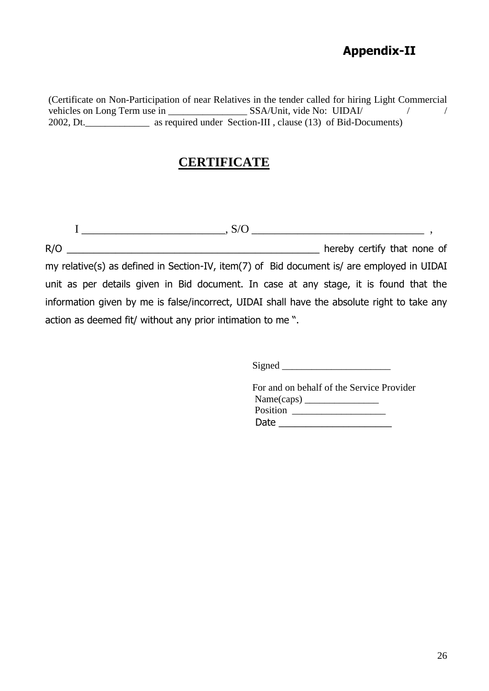# **Appendix-II**

(Certificate on Non-Participation of near Relatives in the tender called for hiring Light Commercial vehicles on Long Term use in \_\_\_\_\_\_\_\_\_\_\_\_\_\_\_\_ SSA/Unit, vide No: UIDAI/ / / 2002, Dt.\_\_\_\_\_\_\_\_\_\_\_\_\_ as required under Section-III , clause (13) of Bid-Documents)

# **CERTIFICATE**

 $I \_$  ,  $S/O \_$  ,  $\_$  ,  $\_$  ,  $\_$  ,  $\_$  ,  $\_$ R/O \_\_\_\_\_\_\_\_\_\_\_\_\_\_\_\_\_\_\_\_\_\_\_\_\_\_\_\_\_\_\_\_\_\_\_\_\_\_\_\_\_\_\_\_\_\_\_ hereby certify that none of my relative(s) as defined in Section-IV, item(7) of Bid document is/ are employed in UIDAI unit as per details given in Bid document. In case at any stage, it is found that the information given by me is false/incorrect, UIDAI shall have the absolute right to take any action as deemed fit/ without any prior intimation to me ".

Signed  $\Box$ 

For and on behalf of the Service Provider  $Name(caps)$ Position \_\_\_\_\_\_\_\_\_\_\_\_\_\_\_\_\_\_\_ Date \_\_\_\_\_\_\_\_\_\_\_\_\_\_\_\_\_\_\_\_\_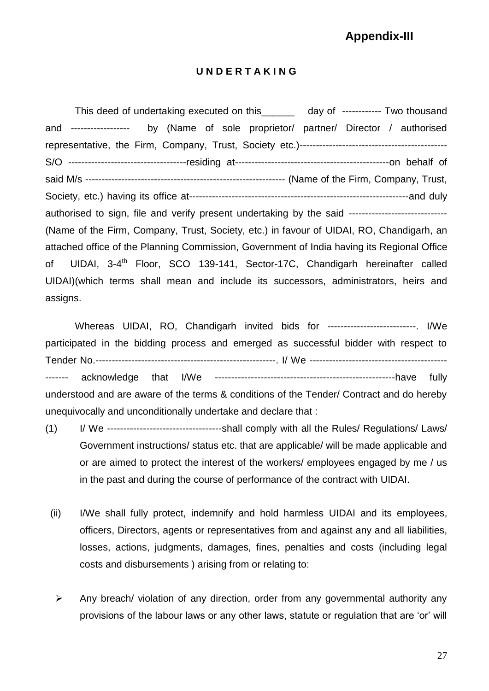# **Appendix-III**

#### **U N D E R T A K I N G**

This deed of undertaking executed on this day of ------------- Two thousand and ------------------ by (Name of sole proprietor/ partner/ Director / authorised representative, the Firm, Company, Trust, Society etc.)--------------------------------------------- S/O ------------------------------------residing at-----------------------------------------------on behalf of said M/s ------------------------------------------------------------- (Name of the Firm, Company, Trust, Society, etc.) having its office at-------------------------------------------------------------------and duly authorised to sign, file and verify present undertaking by the said -------------------------------(Name of the Firm, Company, Trust, Society, etc.) in favour of UIDAI, RO, Chandigarh, an attached office of the Planning Commission, Government of India having its Regional Office of UIDAI, 3-4<sup>th</sup> Floor, SCO 139-141, Sector-17C, Chandigarh hereinafter called UIDAI)(which terms shall mean and include its successors, administrators, heirs and assigns.

Whereas UIDAI, RO, Chandigarh invited bids for ---------------------------. I/We participated in the bidding process and emerged as successful bidder with respect to Tender No.-------------------------------------------------------. I/ We ------------------------------------------ ------- acknowledge that I/We -------------------------------------------------------have fully understood and are aware of the terms & conditions of the Tender/ Contract and do hereby unequivocally and unconditionally undertake and declare that :

- (1) I/ We -----------------------------------shall comply with all the Rules/ Regulations/ Laws/ Government instructions/ status etc. that are applicable/ will be made applicable and or are aimed to protect the interest of the workers/ employees engaged by me / us in the past and during the course of performance of the contract with UIDAI.
	- (ii) I/We shall fully protect, indemnify and hold harmless UIDAI and its employees, officers, Directors, agents or representatives from and against any and all liabilities, losses, actions, judgments, damages, fines, penalties and costs (including legal costs and disbursements ) arising from or relating to:
	- $\triangleright$  Any breach/ violation of any direction, order from any governmental authority any provisions of the labour laws or any other laws, statute or regulation that are 'or' will